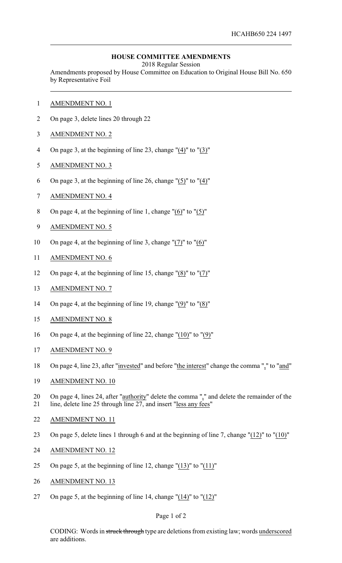## **HOUSE COMMITTEE AMENDMENTS**

2018 Regular Session

Amendments proposed by House Committee on Education to Original House Bill No. 650 by Representative Foil

- AMENDMENT NO. 1
- On page 3, delete lines 20 through 22
- AMENDMENT NO. 2
- On page 3, at the beginning of line 23, change "(4)" to "(3)"
- AMENDMENT NO. 3
- On page 3, at the beginning of line 26, change "(5)" to "(4)"
- AMENDMENT NO. 4
- On page 4, at the beginning of line 1, change "(6)" to "(5)"
- AMENDMENT NO. 5
- On page 4, at the beginning of line 3, change "(7)" to "(6)"
- AMENDMENT NO. 6
- On page 4, at the beginning of line 15, change "(8)" to "(7)"
- AMENDMENT NO. 7
- On page 4, at the beginning of line 19, change "(9)" to "(8)"
- AMENDMENT NO. 8
- On page 4, at the beginning of line 22, change "(10)" to "(9)"
- AMENDMENT NO. 9
- On page 4, line 23, after "invested" and before "the interest" change the comma "," to "and"
- AMENDMENT NO. 10
- 20 On page 4, lines 24, after "authority" delete the comma "," and delete the remainder of the line, delete line 25 through line 27, and insert "less any fees"
- AMENDMENT NO. 11
- On page 5, delete lines 1 through 6 and at the beginning of line 7, change "(12)" to "(10)"
- AMENDMENT NO. 12
- 25 On page 5, at the beginning of line 12, change " $(13)$ " to " $(11)$ "
- AMENDMENT NO. 13
- On page 5, at the beginning of line 14, change "(14)" to "(12)"

## Page 1 of 2

CODING: Words in struck through type are deletions from existing law; words underscored are additions.